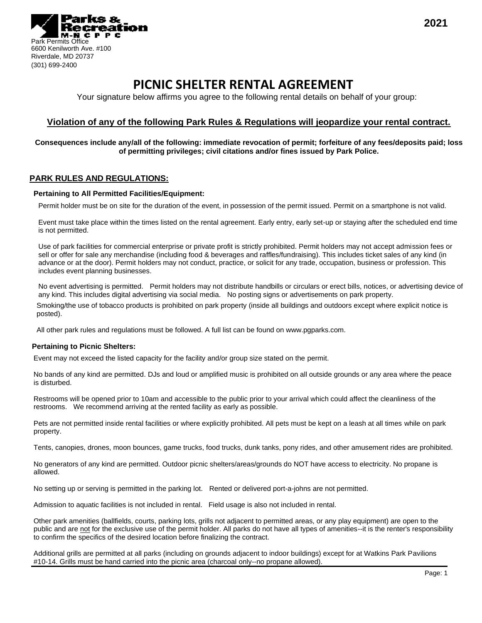

# **PICNIC SHELTER RENTAL AGREEMENT**

Your signature below affirms you agree to the following rental details on behalf of your group:

# **Violation of any of the following Park Rules & Regulations will jeopardize your rental contract.**

### **Consequences include any/all of the following: immediate revocation of permit; forfeiture of any fees/deposits paid; loss of permitting privileges; civil citations and/or fines issued by Park Police.**

## **PARK RULES AND REGULATIONS:**

#### **Pertaining to All Permitted Facilities/Equipment:**

Permit holder must be on site for the duration of the event, in possession of the permit issued. Permit on a smartphone is not valid.

Event must take place within the times listed on the rental agreement. Early entry, early set-up or staying after the scheduled end time is not permitted.

Use of park facilities for commercial enterprise or private profit is strictly prohibited. Permit holders may not accept admission fees or sell or offer for sale any merchandise (including food & beverages and raffles/fundraising). This includes ticket sales of any kind (in advance or at the door). Permit holders may not conduct, practice, or solicit for any trade, occupation, business or profession. This includes event planning businesses.

No event advertising is permitted. Permit holders may not distribute handbills or circulars or erect bills, notices, or advertising device of any kind. This includes digital advertising via social media. No posting signs or advertisements on park property.

Smoking/the use of tobacco products is prohibited on park property (inside all buildings and outdoors except where explicit notice is posted).

All other park rules and regulations must be followed. A full list can be found on www.pgparks.com.

#### **Pertaining to Picnic Shelters:**

Event may not exceed the listed capacity for the facility and/or group size stated on the permit.

No bands of any kind are permitted. DJs and loud or amplified music is prohibited on all outside grounds or any area where the peace is disturbed.

Restrooms will be opened prior to 10am and accessible to the public prior to your arrival which could affect the cleanliness of the restrooms. We recommend arriving at the rented facility as early as possible.

Pets are not permitted inside rental facilities or where explicitly prohibited. All pets must be kept on a leash at all times while on park property.

Tents, canopies, drones, moon bounces, game trucks, food trucks, dunk tanks, pony rides, and other amusement rides are prohibited.

No generators of any kind are permitted. Outdoor picnic shelters/areas/grounds do NOT have access to electricity. No propane is allowed.

No setting up or serving is permitted in the parking lot. Rented or delivered port-a-johns are not permitted.

Admission to aquatic facilities is not included in rental. Field usage is also not included in rental.

Other park amenities (ballfields, courts, parking lots, grills not adjacent to permitted areas, or any play equipment) are open to the public and are not for the exclusive use of the permit holder. All parks do not have all types of amenities--it is the renter's responsibility to confirm the specifics of the desired location before finalizing the contract.

Additional grills are permitted at all parks (including on grounds adjacent to indoor buildings) except for at Watkins Park Pavilions #10-14. Grills must be hand carried into the picnic area (charcoal only--no propane allowed).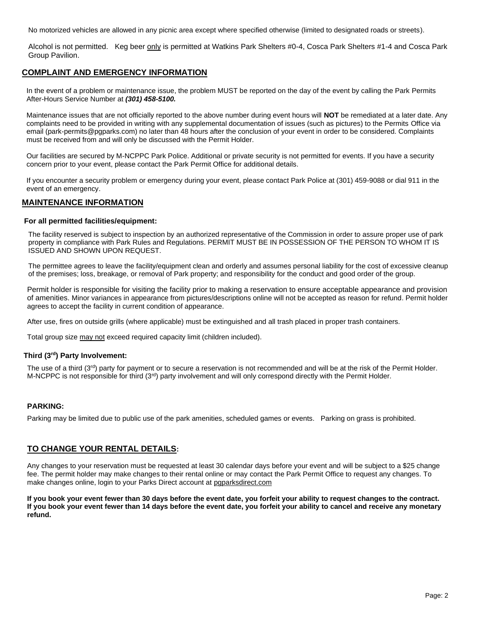No motorized vehicles are allowed in any picnic area except where specified otherwise (limited to designated roads or streets).

Alcohol is not permitted. Keg beer only is permitted at Watkins Park Shelters #0-4, Cosca Park Shelters #1-4 and Cosca Park Group Pavilion.

# **COMPLAINT AND EMERGENCY INFORMATION**

In the event of a problem or maintenance issue, the problem MUST be reported on the day of the event by calling the Park Permits After-Hours Service Number at *(301) 458-5100.*

Maintenance issues that are not officially reported to the above number during event hours will **NOT** be remediated at a later date. Any complaints need to be provided in writing with any supplemental documentation of issues (such as pictures) to the Permits Office via email (park-permits@pgparks.com) no later than 48 hours after the conclusion of your event in order to be considered. Complaints must be received from and will only be discussed with the Permit Holder.

Our facilities are secured by M-NCPPC Park Police. Additional or private security is not permitted for events. If you have a security concern prior to your event, please contact the Park Permit Office for additional details.

If you encounter a security problem or emergency during your event, please contact Park Police at (301) 459-9088 or dial 911 in the event of an emergency.

# **MAINTENANCE INFORMATION**

#### **For all permitted facilities/equipment:**

The facility reserved is subject to inspection by an authorized representative of the Commission in order to assure proper use of park property in compliance with Park Rules and Regulations. PERMIT MUST BE IN POSSESSION OF THE PERSON TO WHOM IT IS ISSUED AND SHOWN UPON REQUEST.

The permittee agrees to leave the facility/equipment clean and orderly and assumes personal liability for the cost of excessive cleanup of the premises; loss, breakage, or removal of Park property; and responsibility for the conduct and good order of the group.

Permit holder is responsible for visiting the facility prior to making a reservation to ensure acceptable appearance and provision of amenities. Minor variances in appearance from pictures/descriptions online will not be accepted as reason for refund. Permit holder agrees to accept the facility in current condition of appearance.

After use, fires on outside grills (where applicable) must be extinguished and all trash placed in proper trash containers.

Total group size may not exceed required capacity limit (children included).

#### **Third (3rd) Party Involvement:**

The use of a third  $(3^{rd})$  party for payment or to secure a reservation is not recommended and will be at the risk of the Permit Holder. M-NCPPC is not responsible for third (3rd) party involvement and will only correspond directly with the Permit Holder.

#### **PARKING:**

Parking may be limited due to public use of the park amenities, scheduled games or events. Parking on grass is prohibited.

## **TO CHANGE YOUR RENTAL DETAILS:**

Any changes to your reservation must be requested at least 30 calendar days before your event and will be subject to a \$25 change fee. The permit holder may make changes to their rental online or may contact the Park Permit Office to request any changes. To make changes online, login to your Parks Direct account at pgparksdirect.com

**If you book your event fewer than 30 days before the event date, you forfeit your ability to request changes to the contract. If you book your event fewer than 14 days before the event date, you forfeit your ability to cancel and receive any monetary refund.**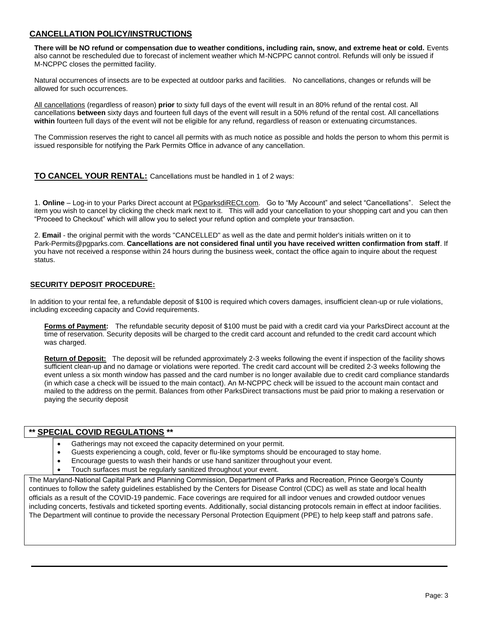# **CANCELLATION POLICY/INSTRUCTIONS**

**There will be NO refund or compensation due to weather conditions, including rain, snow, and extreme heat or cold.** Events also cannot be rescheduled due to forecast of inclement weather which M-NCPPC cannot control. Refunds will only be issued if M-NCPPC closes the permitted facility.

Natural occurrences of insects are to be expected at outdoor parks and facilities. No cancellations, changes or refunds will be allowed for such occurrences.

All cancellations (regardless of reason) **prior** to sixty full days of the event will result in an 80% refund of the rental cost. All cancellations **between** sixty days and fourteen full days of the event will result in a 50% refund of the rental cost. All cancellations **within** fourteen full days of the event will not be eligible for any refund, regardless of reason or extenuating circumstances.

The Commission reserves the right to cancel all permits with as much notice as possible and holds the person to whom this permit is issued responsible for notifying the Park Permits Office in advance of any cancellation.

## **TO CANCEL YOUR RENTAL:** Cancellations must be handled in 1 of 2 ways:

1. **Online** – Log-in to your Parks Direct account at PGparksdiRECt.com. Go to "My Account" and select "Cancellations". Select the item you wish to cancel by clicking the check mark next to it. This will add your cancellation to your shopping cart and you can then "Proceed to Checkout" which will allow you to select your refund option and complete your transaction.

2. **Email** - the original permit with the words "CANCELLED" as well as the date and permit holder's initials written on it to Park-Permits@pgparks.com. **Cancellations are not considered final until you have received written confirmation from staff**. If you have not received a response within 24 hours during the business week, contact the office again to inquire about the request status.

## **SECURITY DEPOSIT PROCEDURE:**

In addition to your rental fee, a refundable deposit of \$100 is required which covers damages, insufficient clean-up or rule violations, including exceeding capacity and Covid requirements.

**Forms of Payment:** The refundable security deposit of \$100 must be paid with a credit card via your ParksDirect account at the time of reservation. Security deposits will be charged to the credit card account and refunded to the credit card account which was charged.

**Return of Deposit:** The deposit will be refunded approximately 2-3 weeks following the event if inspection of the facility shows sufficient clean-up and no damage or violations were reported. The credit card account will be credited 2-3 weeks following the event unless a six month window has passed and the card number is no longer available due to credit card compliance standards (in which case a check will be issued to the main contact). An M-NCPPC check will be issued to the account main contact and mailed to the address on the permit. Balances from other ParksDirect transactions must be paid prior to making a reservation or paying the security deposit

## **\*\* SPECIAL COVID REGULATIONS \*\***

- Gatherings may not exceed the capacity determined on your permit.
- Guests experiencing a cough, cold, fever or flu-like symptoms should be encouraged to stay home.
- Encourage guests to wash their hands or use hand sanitizer throughout your event.
- Touch surfaces must be regularly sanitized throughout your event.

The Maryland-National Capital Park and Planning Commission, Department of Parks and Recreation, Prince George's County continues to follow the safety guidelines established by the Centers for Disease Control (CDC) as well as state and local health officials as a result of the COVID-19 pandemic. Face coverings are required for all indoor venues and crowded outdoor venues including concerts, festivals and ticketed sporting events. Additionally, social distancing protocols remain in effect at indoor facilities. The Department will continue to provide the necessary Personal Protection Equipment (PPE) to help keep staff and patrons safe.